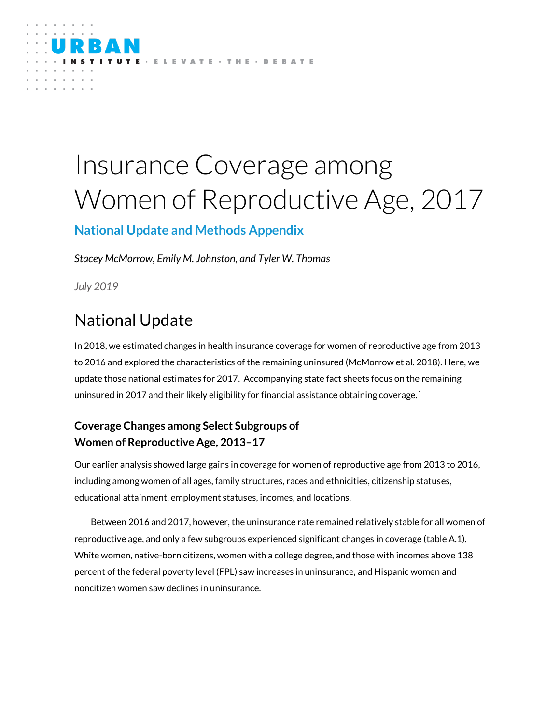

# Insurance Coverage among Women of Reproductive Age, 2017

### **National Update and Methods Appendix**

*Stacey McMorrow, Emily M. Johnston, and Tyler W. Thomas*

*July 2019*

# National Update

In 2018, we estimated changes in health insurance coverage for women of reproductive age from 2013 to 2016 and explored the characteristics of the remaining uninsured (McMorrow et al. 2018). Here, we update those national estimates for 2017. Accompanying state fact sheets focus on the remaining uninsured in 2017 and their likely eligibility for financial assistance obtaining coverage.  $^1$ 

### **Coverage Changes among Select Subgroups of Women of Reproductive Age, 2013–17**

Our earlier analysis showed large gains in coverage for women of reproductive age from 2013 to 2016, including among women of all ages, family structures, races and ethnicities, citizenship statuses, educational attainment, employment statuses, incomes, and locations.

Between 2016 and 2017, however, the uninsurance rate remained relatively stable for all women of reproductive age, and only a few subgroups experienced significant changes in coverage (table A.1). White women, native-born citizens, women with a college degree, and those with incomes above 138 percent of the federal poverty level (FPL) saw increases in uninsurance, and Hispanic women and noncitizen women saw declines in uninsurance.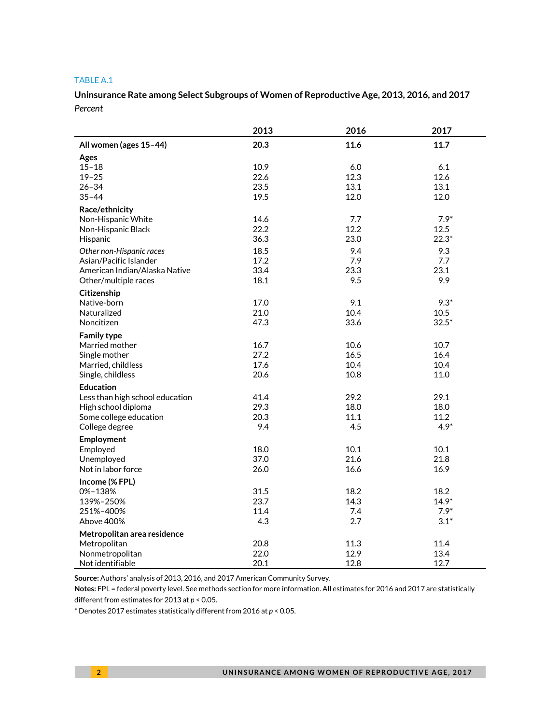#### TABLE A.1

**Uninsurance Rate among Select Subgroups of Women of Reproductive Age, 2013, 2016, and 2017** *Percent*

|                                 | 2013         | 2016         | 2017         |
|---------------------------------|--------------|--------------|--------------|
| All women (ages 15-44)          | 20.3         | 11.6         | 11.7         |
| Ages                            |              |              |              |
| $15 - 18$                       | 10.9         | 6.0          | 6.1          |
| $19 - 25$                       | 22.6         | 12.3         | 12.6         |
| $26 - 34$                       | 23.5         | 13.1         | 13.1         |
| $35 - 44$                       | 19.5         | 12.0         | 12.0         |
| Race/ethnicity                  |              |              |              |
| Non-Hispanic White              | 14.6         | 7.7          | $7.9*$       |
| Non-Hispanic Black              | 22.2         | 12.2         | 12.5         |
| Hispanic                        | 36.3         | 23.0         | $22.3*$      |
| Other non-Hispanic races        | 18.5         | 9.4          | 9.3          |
| Asian/Pacific Islander          | 17.2         | 7.9          | 7.7          |
| American Indian/Alaska Native   | 33.4         | 23.3         | 23.1         |
| Other/multiple races            | 18.1         | 9.5          | 9.9          |
| Citizenship                     |              |              |              |
| Native-born                     | 17.0         | 9.1          | $9.3*$       |
| Naturalized                     | 21.0         | 10.4         | 10.5         |
| Noncitizen                      | 47.3         | 33.6         | $32.5*$      |
| <b>Family type</b>              |              |              |              |
| Married mother                  | 16.7         | 10.6         | 10.7         |
| Single mother                   | 27.2         | 16.5         | 16.4         |
| Married, childless              | 17.6         | 10.4         | 10.4         |
| Single, childless               | 20.6         | 10.8         | 11.0         |
| <b>Education</b>                |              |              |              |
| Less than high school education | 41.4         | 29.2         | 29.1         |
| High school diploma             | 29.3         | 18.0         | 18.0         |
| Some college education          | 20.3         | 11.1         | 11.2         |
| College degree                  | 9.4          | 4.5          | $4.9*$       |
| Employment                      |              |              |              |
| Employed                        | 18.0         | 10.1         | 10.1         |
| Unemployed                      | 37.0         | 21.6         | 21.8         |
| Not in labor force              | 26.0         | 16.6         | 16.9         |
| Income (% FPL)                  |              |              |              |
| 0%-138%                         | 31.5         | 18.2         | 18.2         |
| 139%-250%                       | 23.7         | 14.3         | $14.9*$      |
| 251%-400%                       | 11.4         | 7.4          | $7.9*$       |
| Above 400%                      | 4.3          | 2.7          | $3.1*$       |
|                                 |              |              |              |
| Metropolitan area residence     |              |              |              |
| Metropolitan                    | 20.8<br>22.0 | 11.3<br>12.9 | 11.4<br>13.4 |
| Nonmetropolitan                 |              |              |              |
| Not identifiable                | 20.1         | 12.8         | 12.7         |

**Source:** Authors' analysis of 2013, 2016, and 2017 American Community Survey.

**Notes:** FPL = federal poverty level. See methods section for more information. All estimates for 2016 and 2017 are statistically different from estimates for 2013 at *p* < 0.05.

\* Denotes 2017 estimates statistically different from 2016 at *p* < 0.05.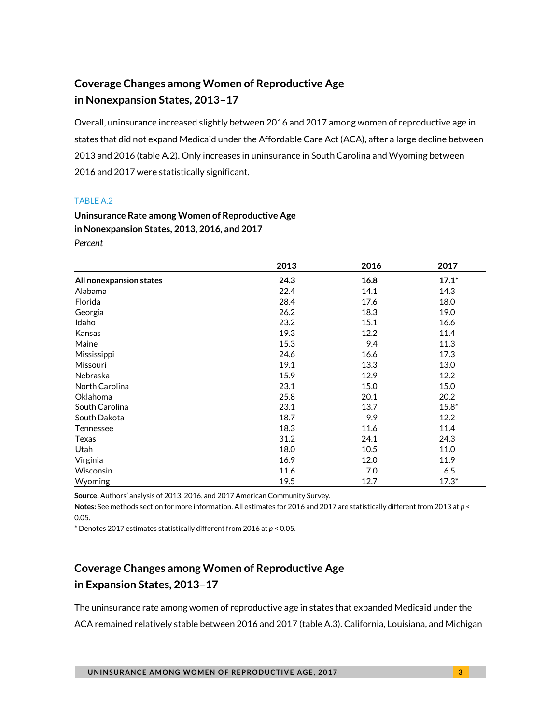### **Coverage Changes among Women of Reproductive Age in Nonexpansion States, 2013–17**

Overall, uninsurance increased slightly between 2016 and 2017 among women of reproductive age in states that did not expand Medicaid under the Affordable Care Act (ACA), after a large decline between 2013 and 2016 (table A.2). Only increases in uninsurance in South Carolina and Wyoming between 2016 and 2017 were statistically significant.

#### TABLE A.2

**Uninsurance Rate among Women of Reproductive Age in Nonexpansion States, 2013, 2016, and 2017** *Percent*

|                         | 2013 | 2016 | 2017    |
|-------------------------|------|------|---------|
| All nonexpansion states | 24.3 | 16.8 | $17.1*$ |
| Alabama                 | 22.4 | 14.1 | 14.3    |
| Florida                 | 28.4 | 17.6 | 18.0    |
| Georgia                 | 26.2 | 18.3 | 19.0    |
| Idaho                   | 23.2 | 15.1 | 16.6    |
| Kansas                  | 19.3 | 12.2 | 11.4    |
| Maine                   | 15.3 | 9.4  | 11.3    |
| Mississippi             | 24.6 | 16.6 | 17.3    |
| Missouri                | 19.1 | 13.3 | 13.0    |
| Nebraska                | 15.9 | 12.9 | 12.2    |
| North Carolina          | 23.1 | 15.0 | 15.0    |
| Oklahoma                | 25.8 | 20.1 | 20.2    |
| South Carolina          | 23.1 | 13.7 | $15.8*$ |
| South Dakota            | 18.7 | 9.9  | 12.2    |
| Tennessee               | 18.3 | 11.6 | 11.4    |
| Texas                   | 31.2 | 24.1 | 24.3    |
| Utah                    | 18.0 | 10.5 | 11.0    |
| Virginia                | 16.9 | 12.0 | 11.9    |
| Wisconsin               | 11.6 | 7.0  | 6.5     |
| Wyoming                 | 19.5 | 12.7 | $17.3*$ |

**Source:** Authors' analysis of 2013, 2016, and 2017 American Community Survey.

**Notes:** See methods section for more information. All estimates for 2016 and 2017 are statistically different from 2013 at *p* < 0.05.

 $*$  Denotes 2017 estimates statistically different from 2016 at  $p < 0.05$ .

### **Coverage Changes among Women of Reproductive Age in Expansion States, 2013–17**

The uninsurance rate among women of reproductive age in states that expanded Medicaid under the ACA remained relatively stable between 2016 and 2017 (table A.3). California, Louisiana, and Michigan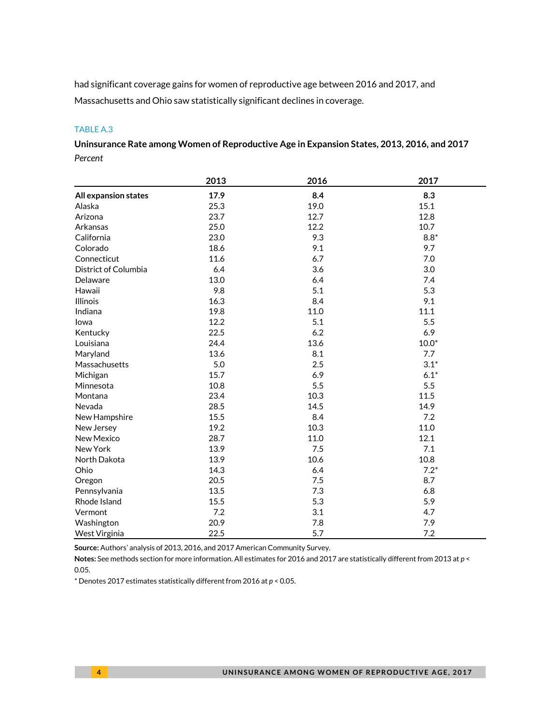had significant coverage gains for women of reproductive age between 2016 and 2017, and Massachusetts and Ohio saw statistically significant declines in coverage.

#### TABLE A.3

**Uninsurance Rate among Women of Reproductive Age in Expansion States, 2013, 2016, and 2017** *Percent*

|                      | 2013 | 2016 | 2017    |
|----------------------|------|------|---------|
| All expansion states | 17.9 | 8.4  | 8.3     |
| Alaska               | 25.3 | 19.0 | 15.1    |
| Arizona              | 23.7 | 12.7 | 12.8    |
| Arkansas             | 25.0 | 12.2 | 10.7    |
| California           | 23.0 | 9.3  | $8.8*$  |
| Colorado             | 18.6 | 9.1  | 9.7     |
| Connecticut          | 11.6 | 6.7  | 7.0     |
| District of Columbia | 6.4  | 3.6  | 3.0     |
| Delaware             | 13.0 | 6.4  | 7.4     |
| Hawaii               | 9.8  | 5.1  | 5.3     |
| <b>Illinois</b>      | 16.3 | 8.4  | 9.1     |
| Indiana              | 19.8 | 11.0 | 11.1    |
| lowa                 | 12.2 | 5.1  | 5.5     |
| Kentucky             | 22.5 | 6.2  | 6.9     |
| Louisiana            | 24.4 | 13.6 | $10.0*$ |
| Maryland             | 13.6 | 8.1  | 7.7     |
| Massachusetts        | 5.0  | 2.5  | $3.1*$  |
| Michigan             | 15.7 | 6.9  | $6.1*$  |
| Minnesota            | 10.8 | 5.5  | 5.5     |
| Montana              | 23.4 | 10.3 | 11.5    |
| Nevada               | 28.5 | 14.5 | 14.9    |
| New Hampshire        | 15.5 | 8.4  | 7.2     |
| New Jersey           | 19.2 | 10.3 | 11.0    |
| New Mexico           | 28.7 | 11.0 | 12.1    |
| New York             | 13.9 | 7.5  | 7.1     |
| North Dakota         | 13.9 | 10.6 | 10.8    |
| Ohio                 | 14.3 | 6.4  | $7.2*$  |
| Oregon               | 20.5 | 7.5  | 8.7     |
| Pennsylvania         | 13.5 | 7.3  | 6.8     |
| Rhode Island         | 15.5 | 5.3  | 5.9     |
| Vermont              | 7.2  | 3.1  | 4.7     |
| Washington           | 20.9 | 7.8  | 7.9     |
| West Virginia        | 22.5 | 5.7  | 7.2     |

**Source:** Authors' analysis of 2013, 2016, and 2017 American Community Survey.

**Notes:** See methods section for more information. All estimates for 2016 and 2017 are statistically different from 2013 at *p* < 0.05.

\* Denotes 2017 estimates statistically different from 2016 at *p* < 0.05.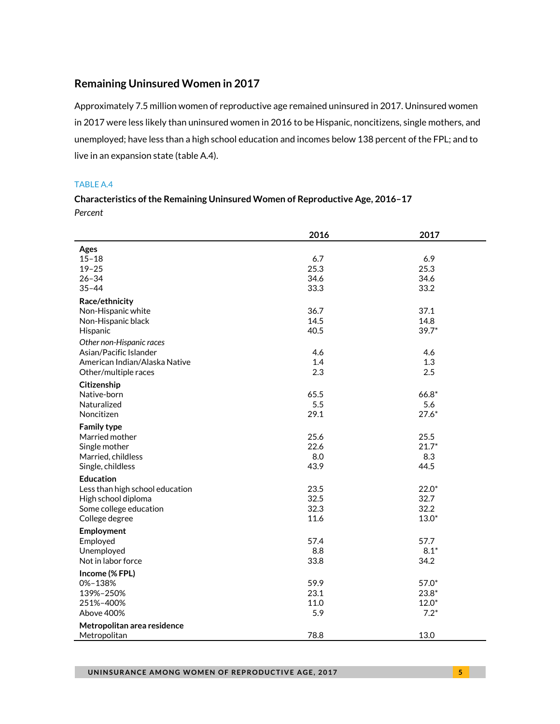#### **Remaining Uninsured Women in 2017**

Approximately 7.5 million women of reproductive age remained uninsured in 2017. Uninsured women in 2017 were less likely than uninsured women in 2016 to be Hispanic, noncitizens, single mothers, and unemployed; have less than a high school education and incomes below 138 percent of the FPL; and to live in an expansion state (table A.4).

#### TABLE A.4

#### **Characteristics of the Remaining Uninsured Women of Reproductive Age, 2016–17** *Percent*

|                                 | 2016 | 2017    |
|---------------------------------|------|---------|
| Ages                            |      |         |
| $15 - 18$                       | 6.7  | 6.9     |
| $19 - 25$                       | 25.3 | 25.3    |
| $26 - 34$                       | 34.6 | 34.6    |
| $35 - 44$                       | 33.3 | 33.2    |
| Race/ethnicity                  |      |         |
| Non-Hispanic white              | 36.7 | 37.1    |
| Non-Hispanic black              | 14.5 | 14.8    |
| Hispanic                        | 40.5 | $39.7*$ |
| Other non-Hispanic races        |      |         |
| Asian/Pacific Islander          | 4.6  | 4.6     |
| American Indian/Alaska Native   | 1.4  | 1.3     |
| Other/multiple races            | 2.3  | 2.5     |
| Citizenship                     |      |         |
| Native-born                     | 65.5 | $66.8*$ |
| Naturalized                     | 5.5  | 5.6     |
| Noncitizen                      | 29.1 | $27.6*$ |
| <b>Family type</b>              |      |         |
| Married mother                  | 25.6 | 25.5    |
| Single mother                   | 22.6 | $21.7*$ |
| Married, childless              | 8.0  | 8.3     |
| Single, childless               | 43.9 | 44.5    |
| <b>Education</b>                |      |         |
| Less than high school education | 23.5 | $22.0*$ |
| High school diploma             | 32.5 | 32.7    |
| Some college education          | 32.3 | 32.2    |
| College degree                  | 11.6 | $13.0*$ |
| Employment                      |      |         |
| Employed                        | 57.4 | 57.7    |
| Unemployed                      | 8.8  | $8.1*$  |
| Not in labor force              | 33.8 | 34.2    |
|                                 |      |         |
| Income (% FPL)<br>0%-138%       | 59.9 | 57.0*   |
| 139%-250%                       | 23.1 | $23.8*$ |
| 251%-400%                       | 11.0 | $12.0*$ |
| Above 400%                      | 5.9  | $7.2*$  |
|                                 |      |         |
| Metropolitan area residence     |      |         |
| Metropolitan                    | 78.8 | 13.0    |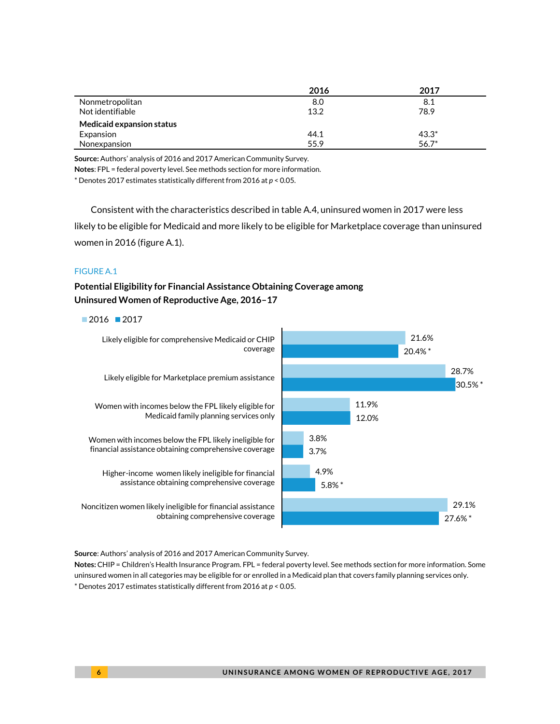|                           | 2016 | 2017    |
|---------------------------|------|---------|
| Nonmetropolitan           | 8.0  | 8.1     |
| Not identifiable          | 13.2 | 78.9    |
| Medicaid expansion status |      |         |
| Expansion                 | 44.1 | $43.3*$ |
| Nonexpansion              | 55.9 | $56.7*$ |

**Source:** Authors' analysis of 2016 and 2017 American Community Survey.

**Notes**: FPL = federal poverty level. See methods section for more information.

\* Denotes 2017 estimates statistically different from 2016 at *p* < 0.05.

Consistent with the characteristics described in table A.4, uninsured women in 2017 were less likely to be eligible for Medicaid and more likely to be eligible for Marketplace coverage than uninsured women in 2016 (figure A.1).

#### FIGURE A.1

**Potential Eligibility for Financial Assistance Obtaining Coverage among Uninsured Women of Reproductive Age, 2016–17**

#### $2016$  2017



**Source**: Authors' analysis of 2016 and 2017 American Community Survey.

**Notes:** CHIP = Children's Health Insurance Program. FPL = federal poverty level. See methods section for more information. Some uninsured women in all categories may be eligible for or enrolled in a Medicaid plan that covers family planning services only. \* Denotes 2017 estimates statistically different from 2016 at *p* < 0.05.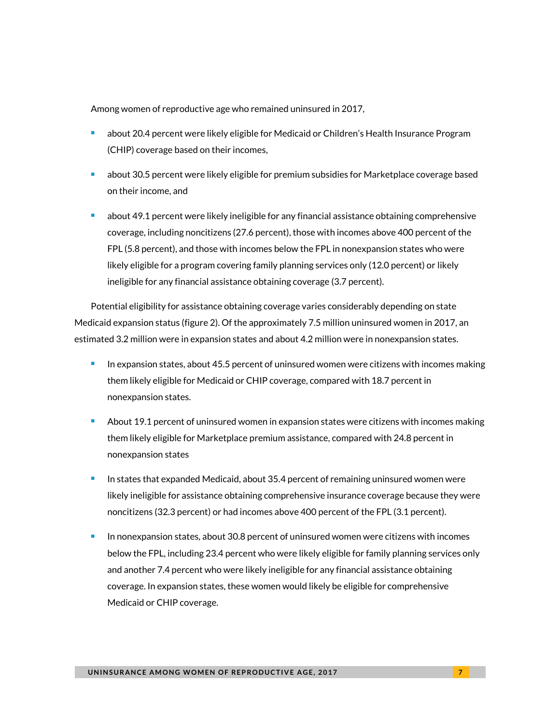Among women of reproductive age who remained uninsured in 2017,

- <sup>◼</sup> about 20.4 percent were likely eligible for Medicaid or Children's Health Insurance Program (CHIP) coverage based on their incomes,
- about 30.5 percent were likely eligible for premium subsidies for Marketplace coverage based on their income, and
- about 49.1 percent were likely ineligible for any financial assistance obtaining comprehensive coverage, including noncitizens (27.6 percent), those with incomes above 400 percent of the FPL (5.8 percent), and those with incomes below the FPL in nonexpansion states who were likely eligible for a program covering family planning services only (12.0 percent) or likely ineligible for any financial assistance obtaining coverage (3.7 percent).

Potential eligibility for assistance obtaining coverage varies considerably depending on state Medicaid expansion status (figure 2). Of the approximately 7.5 million uninsured women in 2017, an estimated 3.2 million were in expansion states and about 4.2 million were in nonexpansion states.

- In expansion states, about 45.5 percent of uninsured women were citizens with incomes making them likely eligible for Medicaid or CHIP coverage, compared with 18.7 percent in nonexpansion states.
- About 19.1 percent of uninsured women in expansion states were citizens with incomes making them likely eligible for Marketplace premium assistance, compared with 24.8 percent in nonexpansion states
- In states that expanded Medicaid, about 35.4 percent of remaining uninsured women were likely ineligible for assistance obtaining comprehensive insurance coverage because they were noncitizens (32.3 percent) or had incomes above 400 percent of the FPL (3.1 percent).
- In nonexpansion states, about 30.8 percent of uninsured women were citizens with incomes below the FPL, including 23.4 percent who were likely eligible for family planning services only and another 7.4 percent who were likely ineligible for any financial assistance obtaining coverage. In expansion states, these women would likely be eligible for comprehensive Medicaid or CHIP coverage.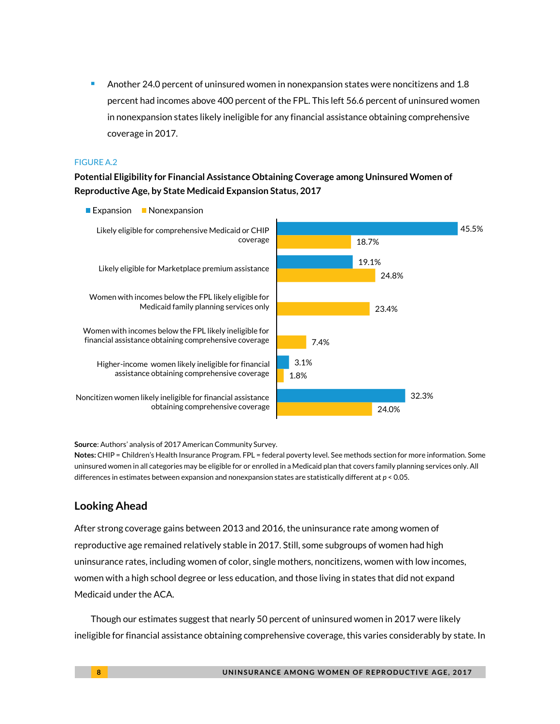<sup>◼</sup> Another 24.0 percent of uninsured women in nonexpansion states were noncitizens and 1.8 percent had incomes above 400 percent of the FPL. This left 56.6 percent of uninsured women in nonexpansion states likely ineligible for any financial assistance obtaining comprehensive coverage in 2017.

#### FIGURE A.2

**Potential Eligibility for Financial Assistance Obtaining Coverage among Uninsured Women of Reproductive Age, by State Medicaid Expansion Status, 2017** 



**Source**: Authors' analysis of 2017 American Community Survey.

**Notes:** CHIP = Children's Health Insurance Program. FPL = federal poverty level. See methods section for more information. Some uninsured women in all categories may be eligible for or enrolled in a Medicaid plan that covers family planning services only. All differences in estimates between expansion and nonexpansion states are statistically different at *p* < 0.05.

#### **Looking Ahead**

After strong coverage gains between 2013 and 2016, the uninsurance rate among women of reproductive age remained relatively stable in 2017. Still, some subgroups of women had high uninsurance rates, including women of color, single mothers, noncitizens, women with low incomes, women with a high school degree or less education, and those living in states that did not expand Medicaid under the ACA.

Though our estimates suggest that nearly 50 percent of uninsured women in 2017 were likely ineligible for financial assistance obtaining comprehensive coverage, this varies considerably by state. In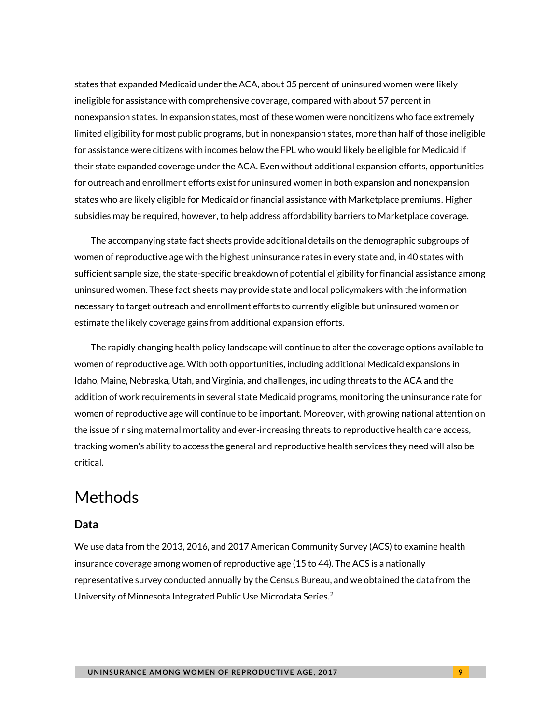states that expanded Medicaid under the ACA, about 35 percent of uninsured women were likely ineligible for assistance with comprehensive coverage, compared with about 57 percent in nonexpansion states. In expansion states, most of these women were noncitizens who face extremely limited eligibility for most public programs, but in nonexpansion states, more than half of those ineligible for assistance were citizens with incomes below the FPL who would likely be eligible for Medicaid if their state expanded coverage under the ACA. Even without additional expansion efforts, opportunities for outreach and enrollment efforts exist for uninsured women in both expansion and nonexpansion states who are likely eligible for Medicaid or financial assistance with Marketplace premiums. Higher subsidies may be required, however, to help address affordability barriers to Marketplace coverage.

The accompanying state fact sheets provide additional details on the demographic subgroups of women of reproductive age with the highest uninsurance rates in every state and, in 40 states with sufficient sample size, the state-specific breakdown of potential eligibility for financial assistance among uninsured women. These fact sheets may provide state and local policymakers with the information necessary to target outreach and enrollment efforts to currently eligible but uninsured women or estimate the likely coverage gains from additional expansion efforts.

The rapidly changing health policy landscape will continue to alter the coverage options available to women of reproductive age. With both opportunities, including additional Medicaid expansions in Idaho, Maine, Nebraska, Utah, and Virginia, and challenges, including threats to the ACA and the addition of work requirements in several state Medicaid programs, monitoring the uninsurance rate for women of reproductive age will continue to be important. Moreover, with growing national attention on the issue of rising maternal mortality and ever-increasing threats to reproductive health care access, tracking women's ability to access the general and reproductive health services they need will also be critical.

# Methods

#### **Data**

We use data from the 2013, 2016, and 2017 American Community Survey (ACS) to examine health insurance coverage among women of reproductive age (15 to 44). The ACS is a nationally representative survey conducted annually by the Census Bureau, and we obtained the data from the University of Minnesota Integrated Public Use Microdata Series. $^2$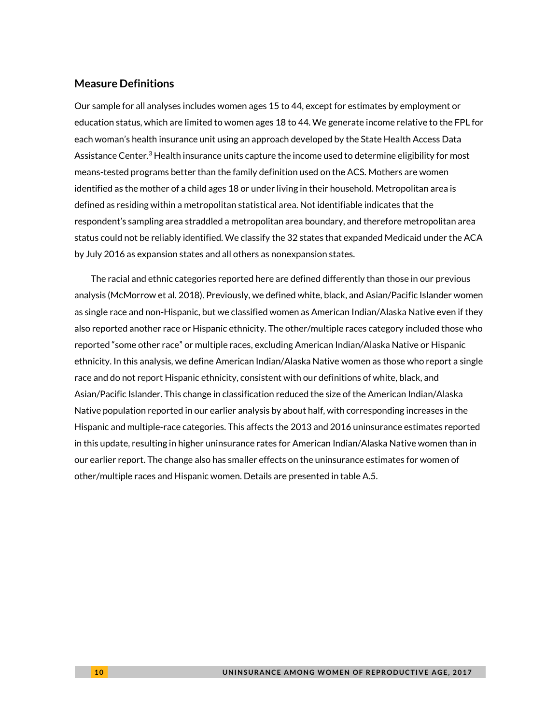#### **Measure Definitions**

Our sample for all analyses includes women ages 15 to 44, except for estimates by employment or education status, which are limited to women ages 18 to 44. We generate income relative to the FPL for each woman's health insurance unit using an approach developed by the State Health Access Data Assistance Center. ${}^{3}$  Health insurance units capture the income used to determine eligibility for most means-tested programs better than the family definition used on the ACS. Mothers are women identified as the mother of a child ages 18 or under living in their household. Metropolitan area is defined as residing within a metropolitan statistical area. Not identifiable indicates that the respondent's sampling area straddled a metropolitan area boundary, and therefore metropolitan area status could not be reliably identified. We classify the 32 states that expanded Medicaid under the ACA by July 2016 as expansion states and all others as nonexpansion states.

The racial and ethnic categories reported here are defined differently than those in our previous analysis (McMorrow et al. 2018). Previously, we defined white, black, and Asian/Pacific Islander women as single race and non-Hispanic, but we classified women as American Indian/Alaska Native even if they also reported another race or Hispanic ethnicity. The other/multiple races category included those who reported "some other race" or multiple races, excluding American Indian/Alaska Native or Hispanic ethnicity. In this analysis, we define American Indian/Alaska Native women as those who report a single race and do not report Hispanic ethnicity, consistent with our definitions of white, black, and Asian/Pacific Islander. This change in classification reduced the size of the American Indian/Alaska Native population reported in our earlier analysis by about half, with corresponding increases in the Hispanic and multiple-race categories. This affects the 2013 and 2016 uninsurance estimates reported in this update, resulting in higher uninsurance rates for American Indian/Alaska Native women than in our earlier report. The change also has smaller effects on the uninsurance estimates for women of other/multiple races and Hispanic women. Details are presented in table A.5.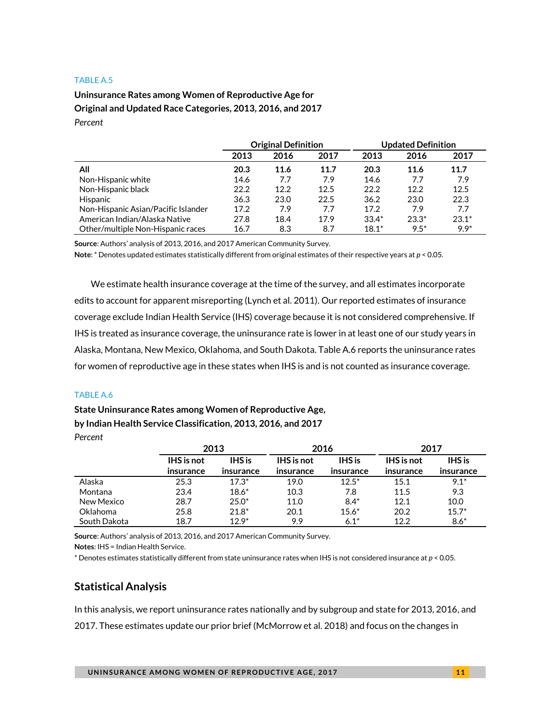#### TABLE A.5

#### **Uninsurance Rates among Women of Reproductive Age for Original and Updated Race Categories, 2013, 2016, and 2017** *Percent*

|                                     | <b>Original Definition</b> |      | <b>Updated Definition</b> |         |         |         |
|-------------------------------------|----------------------------|------|---------------------------|---------|---------|---------|
|                                     | 2013                       | 2016 | 2017                      | 2013    | 2016    | 2017    |
| All                                 | 20.3                       | 11.6 | 11.7                      | 20.3    | 11.6    | 11.7    |
| Non-Hispanic white                  | 14.6                       | 7.7  | 7.9                       | 14.6    | 7.7     | 7.9     |
| Non-Hispanic black                  | 22.2                       | 12.2 | 12.5                      | 22.2    | 12.2    | 12.5    |
| Hispanic                            | 36.3                       | 23.0 | 22.5                      | 36.2    | 23.0    | 22.3    |
| Non-Hispanic Asian/Pacific Islander | 17.2                       | 7.9  | 7.7                       | 17.2    | 7.9     | 7.7     |
| American Indian/Alaska Native       | 27.8                       | 18.4 | 17.9                      | $33.4*$ | $23.3*$ | $23.1*$ |
| Other/multiple Non-Hispanic races   | 16.7                       | 8.3  | 8.7                       | $18.1*$ | $9.5*$  | $9.9*$  |

**Source**: Authors' analysis of 2013, 2016, and 2017 American Community Survey.

**Note**: \* Denotes updated estimates statistically different from original estimates of their respective years at *p* < 0.05.

We estimate health insurance coverage at the time of the survey, and all estimates incorporate edits to account for apparent misreporting (Lynch et al. 2011). Our reported estimates of insurance coverage exclude Indian Health Service (IHS) coverage because it is not considered comprehensive. If IHS is treated as insurance coverage, the uninsurance rate is lower in at least one of our study years in Alaska, Montana, New Mexico, Oklahoma, and South Dakota. Table A.6 reports the uninsurance rates for women of reproductive age in these states when IHS is and is not counted as insurance coverage.

#### TABLE A.6

#### **State Uninsurance Rates among Women of Reproductive Age, by Indian Health Service Classification, 2013, 2016, and 2017**

*Percent*

|              |                   | 2013          | 2016              |               | 2017              |               |
|--------------|-------------------|---------------|-------------------|---------------|-------------------|---------------|
|              | <b>IHS</b> is not | <b>IHS</b> is | <b>IHS</b> is not | <b>IHS</b> is | <b>IHS</b> is not | <b>IHS</b> is |
|              | insurance         | insurance     | insurance         | insurance     | insurance         | insurance     |
| Alaska       | 25.3              | $17.3*$       | 19.0              | $12.5*$       | 15.1              | $9.1*$        |
| Montana      | 23.4              | $18.6*$       | 10.3              | 7.8           | 11.5              | 9.3           |
| New Mexico   | 28.7              | $25.0*$       | 11.0              | $8.4*$        | 12.1              | 10.0          |
| Oklahoma     | 25.8              | $21.8*$       | 20.1              | $15.6*$       | 20.2              | $15.7*$       |
| South Dakota | 18.7              | $129*$        | 9.9               | $6.1*$        | 12.2              | $8.6*$        |

**Source**: Authors' analysis of 2013, 2016, and 2017 American Community Survey.

**Notes**: IHS = Indian Health Service.

\* Denotes estimates statistically different from state uninsurance rates when IHS is not considered insurance at *p* < 0.05.

#### **Statistical Analysis**

In this analysis, we report uninsurance rates nationally and by subgroup and state for 2013, 2016, and 2017. These estimates update our prior brief (McMorrow et al. 2018) and focus on the changes in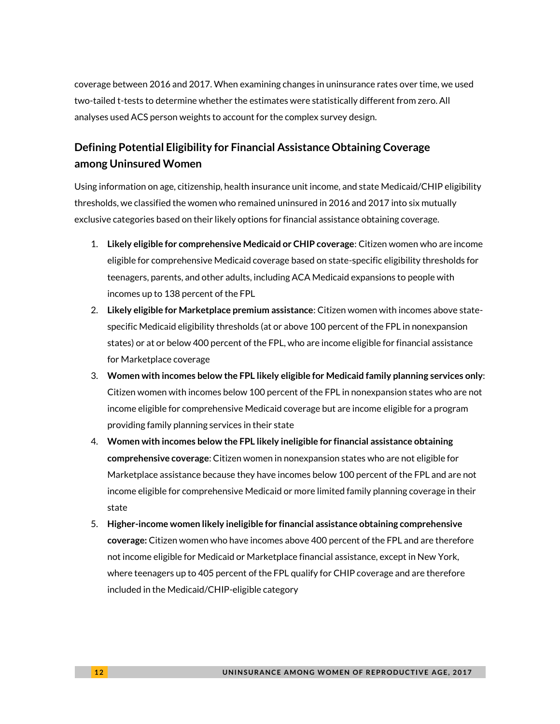coverage between 2016 and 2017. When examining changes in uninsurance rates over time, we used two-tailed t-tests to determine whether the estimates were statistically different from zero. All analyses used ACS person weights to account for the complex survey design.

### **Defining Potential Eligibility for Financial Assistance Obtaining Coverage among Uninsured Women**

Using information on age, citizenship, health insurance unit income, and state Medicaid/CHIP eligibility thresholds, we classified the women who remained uninsured in 2016 and 2017 into six mutually exclusive categories based on their likely options for financial assistance obtaining coverage.

- 1. **Likely eligible for comprehensive Medicaid or CHIP coverage**: Citizen women who are income eligible for comprehensive Medicaid coverage based on state-specific eligibility thresholds for teenagers, parents, and other adults, including ACA Medicaid expansions to people with incomes up to 138 percent of the FPL
- 2. **Likely eligible for Marketplace premium assistance**: Citizen women with incomes above statespecific Medicaid eligibility thresholds (at or above 100 percent of the FPL in nonexpansion states) or at or below 400 percent of the FPL, who are income eligible for financial assistance for Marketplace coverage
- 3. **Women with incomes below the FPL likely eligible for Medicaid family planning services only**: Citizen women with incomes below 100 percent of the FPL in nonexpansion states who are not income eligible for comprehensive Medicaid coverage but are income eligible for a program providing family planning services in their state
- 4. **Women with incomes below the FPL likely ineligible for financial assistance obtaining comprehensive coverage**: Citizen women in nonexpansion states who are not eligible for Marketplace assistance because they have incomes below 100 percent of the FPL and are not income eligible for comprehensive Medicaid or more limited family planning coverage in their state
- 5. **Higher-income women likely ineligible for financial assistance obtaining comprehensive coverage:** Citizen women who have incomes above 400 percent of the FPL and are therefore not income eligible for Medicaid or Marketplace financial assistance, except in New York, where teenagers up to 405 percent of the FPL qualify for CHIP coverage and are therefore included in the Medicaid/CHIP-eligible category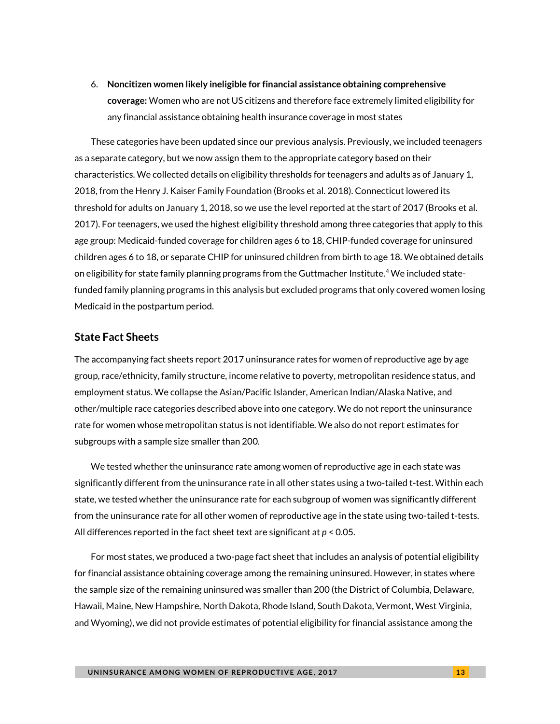6. **Noncitizen women likely ineligible for financial assistance obtaining comprehensive coverage:** Women who are not US citizens and therefore face extremely limited eligibility for any financial assistance obtaining health insurance coverage in most states

These categories have been updated since our previous analysis. Previously, we included teenagers as a separate category, but we now assign them to the appropriate category based on their characteristics. We collected details on eligibility thresholds for teenagers and adults as of January 1, 2018, from the Henry J. Kaiser Family Foundation (Brooks et al. 2018). Connecticut lowered its threshold for adults on January 1, 2018, so we use the level reported at the start of 2017 (Brooks et al. 2017). For teenagers, we used the highest eligibility threshold among three categories that apply to this age group: Medicaid-funded coverage for children ages 6 to 18, CHIP-funded coverage for uninsured children ages 6 to 18, or separate CHIP for uninsured children from birth to age 18. We obtained details on eligibility for state family planning programs from the Guttmacher Institute.<sup>4</sup> We included statefunded family planning programs in this analysis but excluded programs that only covered women losing Medicaid in the postpartum period.

#### **State Fact Sheets**

The accompanying fact sheets report 2017 uninsurance rates for women of reproductive age by age group, race/ethnicity, family structure, income relative to poverty, metropolitan residence status, and employment status. We collapse the Asian/Pacific Islander, American Indian/Alaska Native, and other/multiple race categories described above into one category. We do not report the uninsurance rate for women whose metropolitan status is not identifiable. We also do not report estimates for subgroups with a sample size smaller than 200.

We tested whether the uninsurance rate among women of reproductive age in each state was significantly different from the uninsurance rate in all other states using a two-tailed t-test. Within each state, we tested whether the uninsurance rate for each subgroup of women was significantly different from the uninsurance rate for all other women of reproductive age in the state using two-tailed t-tests. All differences reported in the fact sheet text are significant at *p* < 0.05.

For most states, we produced a two-page fact sheet that includes an analysis of potential eligibility for financial assistance obtaining coverage among the remaining uninsured. However, in states where the sample size of the remaining uninsured was smaller than 200 (the District of Columbia, Delaware, Hawaii, Maine, New Hampshire, North Dakota, Rhode Island, South Dakota, Vermont, West Virginia, and Wyoming), we did not provide estimates of potential eligibility for financial assistance among the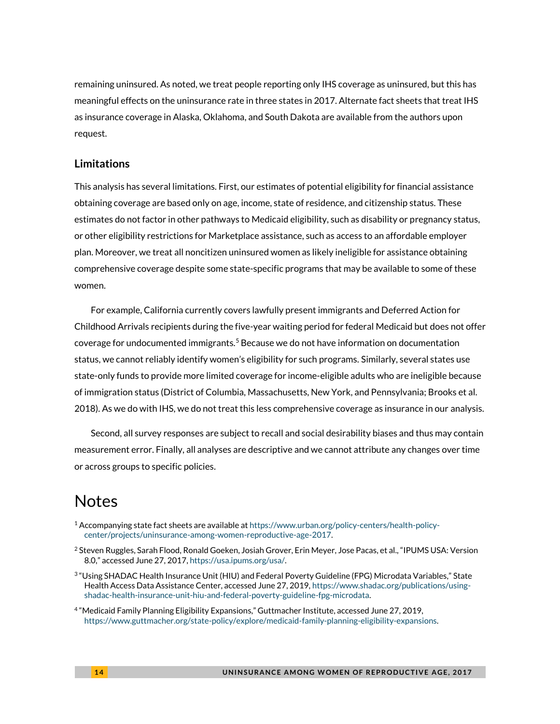remaining uninsured. As noted, we treat people reporting only IHS coverage as uninsured, but this has meaningful effects on the uninsurance rate in three states in 2017. Alternate fact sheets that treat IHS as insurance coverage in Alaska, Oklahoma, and South Dakota are available from the authors upon request.

#### **Limitations**

This analysis has several limitations. First, our estimates of potential eligibility for financial assistance obtaining coverage are based only on age, income, state of residence, and citizenship status. These estimates do not factor in other pathways to Medicaid eligibility, such as disability or pregnancy status, or other eligibility restrictions for Marketplace assistance, such as access to an affordable employer plan. Moreover, we treat all noncitizen uninsured women as likely ineligible for assistance obtaining comprehensive coverage despite some state-specific programs that may be available to some of these women.

For example, California currently covers lawfully present immigrants and Deferred Action for Childhood Arrivals recipients during the five-year waiting period for federal Medicaid but does not offer coverage for undocumented immigrants.<sup>5</sup> Because we do not have information on documentation status, we cannot reliably identify women's eligibility for such programs. Similarly, several states use state-only funds to provide more limited coverage for income-eligible adults who are ineligible because of immigration status (District of Columbia, Massachusetts, New York, and Pennsylvania; Brooks et al. 2018). As we do with IHS, we do not treat this less comprehensive coverage as insurance in our analysis.

Second, all survey responses are subject to recall and social desirability biases and thus may contain measurement error. Finally, all analyses are descriptive and we cannot attribute any changes over time or across groups to specific policies.

# **Notes**

- $1$  Accompanying state fact sheets are available a[t https://www.urban.org/policy-centers/health-policy](https://www.urban.org/policy-centers/health-policy-center/projects/uninsurance-among-women-reproductive-age-2017)[center/projects/uninsurance-among-women-reproductive-age-2017.](https://www.urban.org/policy-centers/health-policy-center/projects/uninsurance-among-women-reproductive-age-2017)
- <sup>2</sup> Steven Ruggles, Sarah Flood, Ronald Goeken, Josiah Grover, Erin Meyer, Jose Pacas, et al., "IPUMS USA: Version 8.0," accessed June 27, 2017, [https://usa.ipums.org/usa/.](https://usa.ipums.org/usa/)
- 3 "Using SHADAC Health Insurance Unit (HIU) and Federal Poverty Guideline (FPG) Microdata Variables," State Health Access Data Assistance Center, accessed June 27, 2019[, https://www.shadac.org/publications/using](https://www.shadac.org/publications/using-shadac-health-insurance-unit-hiu-and-federal-poverty-guideline-fpg-microdata)[shadac-health-insurance-unit-hiu-and-federal-poverty-guideline-fpg-microdata.](https://www.shadac.org/publications/using-shadac-health-insurance-unit-hiu-and-federal-poverty-guideline-fpg-microdata)
- 4 "Medicaid Family Planning Eligibility Expansions," Guttmacher Institute, accessed June 27, 2019, [https://www.guttmacher.org/state-policy/explore/medicaid-family-planning-eligibility-expansions.](https://www.guttmacher.org/state-policy/explore/medicaid-family-planning-eligibility-expansions)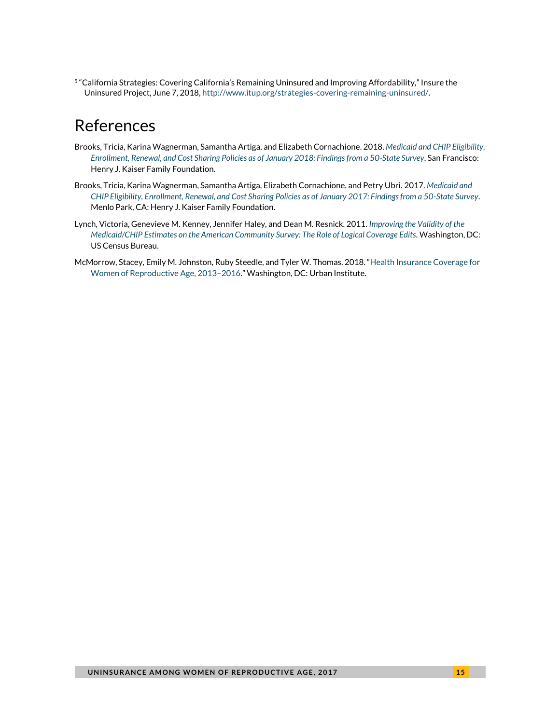5 "California Strategies: Covering California's Remaining Uninsured and Improving Affordability," Insure the Uninsured Project, June 7, 2018, [http://www.itup.org/strategies-covering-remaining-uninsured/.](http://www.itup.org/strategies-covering-remaining-uninsured/) 

# References

- Brooks, Tricia, Karina Wagnerman, Samantha Artiga, and Elizabeth Cornachione. 2018. *[Medicaid and CHIP Eligibility,](http://files.kff.org/attachment/Report-Medicaid-and-CHIP-Eligibility-Enrollment-Renewal-and-Cost-Sharing-Policies-as-of-January-2018)  [Enrollment, Renewal, and Cost Sharing Policies as of January 2018: Findings from a 50-State Survey](http://files.kff.org/attachment/Report-Medicaid-and-CHIP-Eligibility-Enrollment-Renewal-and-Cost-Sharing-Policies-as-of-January-2018)*. San Francisco: Henry J. Kaiser Family Foundation.
- Brooks, Tricia, Karina Wagnerman, Samantha Artiga, Elizabeth Cornachione, and Petry Ubri. 2017. *[Medicaid and](http://files.kff.org/attachment/Report-Medicaid-and-CHIP-Eligibility-as-of-Jan-2017)  [CHIP Eligibility, Enrollment, Renewal, and Cost Sharing Policies as of January 2017: Findings from a 50-State Survey](http://files.kff.org/attachment/Report-Medicaid-and-CHIP-Eligibility-as-of-Jan-2017)*. Menlo Park, CA: Henry J. Kaiser Family Foundation.
- Lynch, Victoria, Genevieve M. Kenney, Jennifer Haley, and Dean M. Resnick. 2011. *[Improving the Validity of the](https://www.census.gov/content/dam/Census/library/working-papers/2011/demo/improving-the-validity-of-the-medicaid-chip-estimates-on-the-acs.pdf)  [Medicaid/CHIP Estimates on the American Community Survey: The Role of Logical Coverage Edits.](https://www.census.gov/content/dam/Census/library/working-papers/2011/demo/improving-the-validity-of-the-medicaid-chip-estimates-on-the-acs.pdf)* Washington, DC: US Census Bureau.
- McMorrow, Stacey, Emily M. Johnston, Ruby Steedle, and Tyler W. Thomas. 2018. "[Health Insurance Coverage for](https://www.urban.org/research/publication/health-insurance-coverage-women-reproductive-age-2013-2016)  [Women of Reproductive Age, 2013](https://www.urban.org/research/publication/health-insurance-coverage-women-reproductive-age-2013-2016)–2016." Washington, DC: Urban Institute.